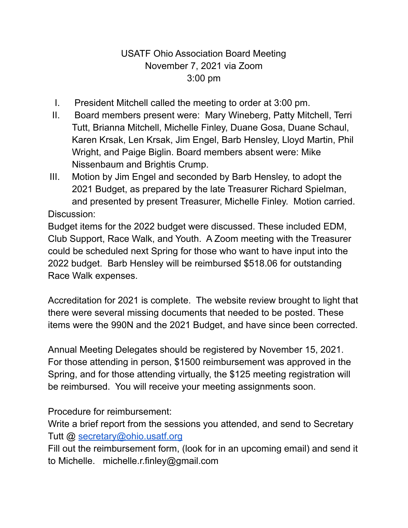## USATF Ohio Association Board Meeting November 7, 2021 via Zoom 3:00 pm

- I. President Mitchell called the meeting to order at 3:00 pm.
- II. Board members present were: Mary Wineberg, Patty Mitchell, Terri Tutt, Brianna Mitchell, Michelle Finley, Duane Gosa, Duane Schaul, Karen Krsak, Len Krsak, Jim Engel, Barb Hensley, Lloyd Martin, Phil Wright, and Paige Biglin. Board members absent were: Mike Nissenbaum and Brightis Crump.
- III. Motion by Jim Engel and seconded by Barb Hensley, to adopt the 2021 Budget, as prepared by the late Treasurer Richard Spielman, and presented by present Treasurer, Michelle Finley. Motion carried. Discussion:

Budget items for the 2022 budget were discussed. These included EDM, Club Support, Race Walk, and Youth. A Zoom meeting with the Treasurer could be scheduled next Spring for those who want to have input into the 2022 budget. Barb Hensley will be reimbursed \$518.06 for outstanding Race Walk expenses.

Accreditation for 2021 is complete. The website review brought to light that there were several missing documents that needed to be posted. These items were the 990N and the 2021 Budget, and have since been corrected.

Annual Meeting Delegates should be registered by November 15, 2021. For those attending in person, \$1500 reimbursement was approved in the Spring, and for those attending virtually, the \$125 meeting registration will be reimbursed. You will receive your meeting assignments soon.

Procedure for reimbursement:

Write a brief report from the sessions you attended, and send to Secretary Tutt @ [secretary@ohio.usatf.org](mailto:secretary@ohio.usatf.org)

Fill out the reimbursement form, (look for in an upcoming email) and send it to Michelle. michelle.r.finley@gmail.com